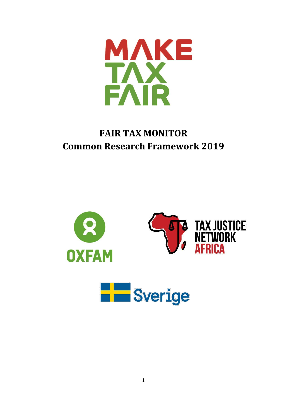

# **FAIR TAX MONITOR Common Research Framework 2019**

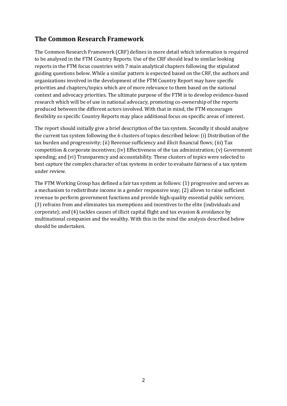### **The Common Research Framework**

The Common Research Framework (CRF) defines in more detail which information is required to be analysed in the FTM Country Reports. Use of the CRF should lead to similar looking reports in the FTM focus countries with 7 main analytical chapters following the stipulated guiding questions below. While a similar pattern is expected based on the CRF, the authors and organizations involved in the development of the FTM Country Report may have specific priorities and chapters/topics which are of more relevance to them based on the national context and advocacy priorities. The ultimate purpose of the FTM is to develop evidence-based research which will be of use in national advocacy, promoting co-ownership of the reports produced between the different actors involved. With that in mind, the FTM encourages flexibility so specific Country Reports may place additional focus on specific areas of interest.

The report should initially give a brief description of the tax system. Secondly it should analyse the current tax system following the 6 clusters of topics described below: (i) Distribution of the tax burden and progressivity; (ii) Revenue sufficiency and illicit financial flows; (iii) Tax competition & corporate incentives; (iv) Effectiveness of the tax administration; (v) Government spending; and (vi) Transparency and accountability. These clusters of topics were selected to best capture the complex character of tax systems in order to evaluate fairness of a tax system under review.

The FTM Working Group has defined a fair tax system as follows: (1) progressive and serves as a mechanism to redistribute income in a gender responsive way; (2) allows to raise sufficient revenue to perform government functions and provide high-quality essential public services; (3) refrains from and eliminates tax exemptions and incentives to the elite (individuals and corporate); and (4) tackles causes of illicit capital flight and tax evasion & avoidance by multinational companies and the wealthy. With this in the mind the analysis described below should be undertaken.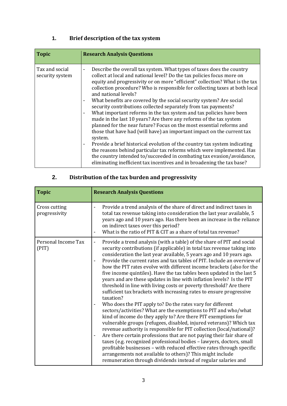# **1. Brief description of the tax system**

| <b>Topic</b>                      | <b>Research Analysis Questions</b>                                                                                                                                                                                                                                                                                                                                                                                                                                                                                                                                                                                                                                                                                                                                                                                                                                                                                                                                                                                                                                                                                                                                                            |
|-----------------------------------|-----------------------------------------------------------------------------------------------------------------------------------------------------------------------------------------------------------------------------------------------------------------------------------------------------------------------------------------------------------------------------------------------------------------------------------------------------------------------------------------------------------------------------------------------------------------------------------------------------------------------------------------------------------------------------------------------------------------------------------------------------------------------------------------------------------------------------------------------------------------------------------------------------------------------------------------------------------------------------------------------------------------------------------------------------------------------------------------------------------------------------------------------------------------------------------------------|
| Tax and social<br>security system | Describe the overall tax system. What types of taxes does the country<br>$\overline{\phantom{a}}$<br>collect at local and national level? Do the tax policies focus more on<br>equity and progressivity or on more "efficient" collection? What is the tax<br>collection procedure? Who is responsible for collecting taxes at both local<br>and national levels?<br>What benefits are covered by the social security system? Are social<br>$\blacksquare$<br>security contributions collected separately from tax payments?<br>What important reforms in the tax system and tax policies have been<br>$\blacksquare$<br>made in the last 10 years? Are there any reforms of the tax system<br>planned for the near future? Focus on the most essential reforms and<br>those that have had (will have) an important impact on the current tax<br>system.<br>Provide a brief historical evolution of the country tax system indicating<br>$\overline{\phantom{a}}$<br>the reasons behind particular tax reforms which were implemented. Has<br>the country intended to/succeeded in combating tax evasion/avoidance,<br>eliminating inefficient tax incentives and in broadening the tax base? |

# **2. Distribution of the tax burden and progressivity**

| <b>Topic</b>                   | <b>Research Analysis Questions</b>                                                                                                                                                                                                                                                                                                                                                                                                                                                                                                                                                                                                                                                                                                                                                                                                                                                                                                                                                                                                                                                                                                                                                                                                                                                                                                                                                                                                 |
|--------------------------------|------------------------------------------------------------------------------------------------------------------------------------------------------------------------------------------------------------------------------------------------------------------------------------------------------------------------------------------------------------------------------------------------------------------------------------------------------------------------------------------------------------------------------------------------------------------------------------------------------------------------------------------------------------------------------------------------------------------------------------------------------------------------------------------------------------------------------------------------------------------------------------------------------------------------------------------------------------------------------------------------------------------------------------------------------------------------------------------------------------------------------------------------------------------------------------------------------------------------------------------------------------------------------------------------------------------------------------------------------------------------------------------------------------------------------------|
| Cross cutting<br>progressivity | Provide a trend analysis of the share of direct and indirect taxes in<br>total tax revenue taking into consideration the last year available, 5<br>years ago and 10 years ago. Has there been an increase in the reliance<br>on indirect taxes over this period?<br>What is the ratio of PIT & CIT as a share of total tax revenue?                                                                                                                                                                                                                                                                                                                                                                                                                                                                                                                                                                                                                                                                                                                                                                                                                                                                                                                                                                                                                                                                                                |
| Personal Income Tax<br>(PIT)   | Provide a trend analysis (with a table) of the share of PIT and social<br>$\overline{\phantom{a}}$<br>security contributions (if applicable) in total tax revenue taking into<br>consideration the last year available, 5 years ago and 10 years ago.<br>Provide the current rates and tax tables of PIT. Include an overview of<br>how the PIT rates evolve with different income brackets (also for the<br>five income quintiles). Have the tax tables been updated in the last 5<br>years and are these updates in line with inflation levels? Is the PIT<br>threshold in line with living costs or poverty threshold? Are there<br>sufficient tax brackets with increasing rates to ensure progressive<br>taxation?<br>Who does the PIT apply to? Do the rates vary for different<br>sectors/activities? What are the exemptions to PIT and who/what<br>kind of income do they apply to? Are there PIT exemptions for<br>vulnerable groups (refugees, disabled, injured veterans)? Which tax<br>revenue authority is responsible for PIT collection (local/national)?<br>Are there certain professions that are not paying their fair share of<br>taxes (e.g. recognized professional bodies - lawyers, doctors, small<br>profitable businesses - with reduced effective rates through specific<br>arrangements not available to others)? This might include<br>remuneration through dividends instead of regular salaries and |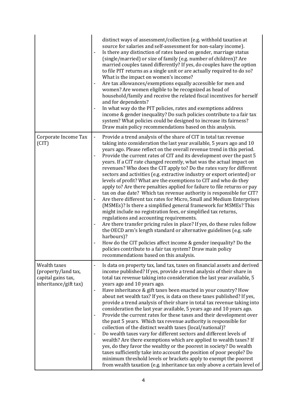|                                                                                    | distinct ways of assessment/collection (e.g. withhold taxation at<br>source for salaries and self-assessment for non-salary income).<br>Is there any distinction of rates based on gender, marriage status<br>(single/married) or size of family (e.g. number of children)? Are<br>married couples taxed differently? If yes, do couples have the option<br>to file PIT returns as a single unit or are actually required to do so?<br>What is the impact on women's income?<br>Are tax allowances/exemptions equally accessible for men and<br>women? Are women eligible to be recognized as head of<br>household/family and receive the related fiscal incentives for herself<br>and for dependents?<br>In what way do the PIT policies, rates and exemptions address<br>$\qquad \qquad \blacksquare$<br>income & gender inequality? Do such policies contribute to a fair tax<br>system? What policies could be designed to increase its fairness?<br>Draw main policy recommendations based on this analysis.                                                                                                                                                                                                                                                                                                                                                                                                     |
|------------------------------------------------------------------------------------|-----------------------------------------------------------------------------------------------------------------------------------------------------------------------------------------------------------------------------------------------------------------------------------------------------------------------------------------------------------------------------------------------------------------------------------------------------------------------------------------------------------------------------------------------------------------------------------------------------------------------------------------------------------------------------------------------------------------------------------------------------------------------------------------------------------------------------------------------------------------------------------------------------------------------------------------------------------------------------------------------------------------------------------------------------------------------------------------------------------------------------------------------------------------------------------------------------------------------------------------------------------------------------------------------------------------------------------------------------------------------------------------------------------------------|
| Corporate Income Tax<br>(CIT)                                                      | Provide a trend analysis of the share of CIT in total tax revenue<br>$\qquad \qquad \blacksquare$<br>taking into consideration the last year available, 5 years ago and 10<br>years ago. Please reflect on the overall revenue trend in this period.<br>Provide the current rates of CIT and its development over the past 5<br>$\overline{\phantom{0}}$<br>years. If a CIT rate changed recently, what was the actual impact on<br>revenues? Who does the CIT apply to? Do the rates vary for different<br>sectors and activities (e.g. extractive industry or export oriented) or<br>levels of profit? What are the exemptions to CIT and who do they<br>apply to? Are there penalties applied for failure to file returns or pay<br>tax on due date? Which tax revenue authority is responsible for CIT?<br>Are there different tax rates for Micro, Small and Medium Enterprises<br>(MSMEs)? Is there a simplified general framework for MSMEs? This<br>might include no registration fees, or simplified tax returns,<br>regulations and accounting requirements.<br>Are there transfer pricing rules in place? If yes, do these rules follow<br>the OECD arm's length standard or alternative guidelines (e.g. safe<br>harbours)?<br>How do the CIT policies affect income & gender inequality? Do the<br>policies contribute to a fair tax system? Draw main policy<br>recommendations based on this analysis. |
| Wealth taxes<br>(property/land tax,<br>capital gains tax,<br>inheritance/gift tax) | Is data on property tax, land tax, taxes on financial assets and derived<br>$\overline{\phantom{a}}$<br>income published? If yes, provide a trend analysis of their share in<br>total tax revenue taking into consideration the last year available, 5<br>years ago and 10 years ago.<br>Have inheritance & gift taxes been enacted in your country? How<br>about net wealth tax? If yes, is data on these taxes published? If yes,<br>provide a trend analysis of their share in total tax revenue taking into<br>consideration the last year available, 5 years ago and 10 years ago.<br>Provide the current rates for these taxes and their development over<br>the past 5 years. Which tax revenue authority is responsible for<br>collection of the distinct wealth taxes (local/national)?<br>Do wealth taxes vary for different sectors and different levels of<br>$\qquad \qquad \blacksquare$<br>wealth? Are there exemptions which are applied to wealth taxes? If<br>yes, do they favor the wealthy or the poorest in society? Do wealth<br>taxes sufficiently take into account the position of poor people? Do<br>minimum threshold levels or brackets apply to exempt the poorest<br>from wealth taxation (e.g. inheritance tax only above a certain level of                                                                                                                                           |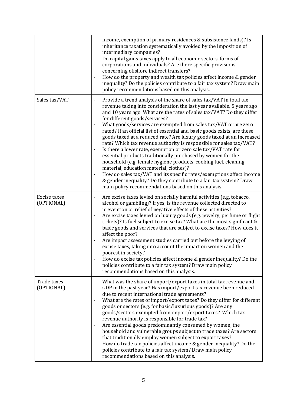|                            | income, exemption of primary residences & subsistence lands)? Is<br>inheritance taxation systematically avoided by the imposition of<br>intermediary companies?<br>Do capital gains taxes apply to all economic sectors, forms of<br>corporations and individuals? Are there specific provisions<br>concerning offshore indirect transfers?<br>How do the property and wealth tax policies affect income & gender<br>inequality? Do the policies contribute to a fair tax system? Draw main<br>policy recommendations based on this analysis.                                                                                                                                                                                                                                                                                                                                                                                                                                                                                           |
|----------------------------|-----------------------------------------------------------------------------------------------------------------------------------------------------------------------------------------------------------------------------------------------------------------------------------------------------------------------------------------------------------------------------------------------------------------------------------------------------------------------------------------------------------------------------------------------------------------------------------------------------------------------------------------------------------------------------------------------------------------------------------------------------------------------------------------------------------------------------------------------------------------------------------------------------------------------------------------------------------------------------------------------------------------------------------------|
| Sales tax/VAT              | Provide a trend analysis of the share of sales tax/VAT in total tax<br>$\overline{\phantom{a}}$<br>revenue taking into consideration the last year available, 5 years ago<br>and 10 years ago. What are the rates of sales tax/VAT? Do they differ<br>for different goods/services?<br>What goods/services are exempted from sales tax/VAT or are zero<br>rated? If an official list of essential and basic goods exists, are these<br>goods taxed at a reduced rate? Are luxury goods taxed at an increased<br>rate? Which tax revenue authority is responsible for sales tax/VAT?<br>Is there a lower rate, exemption or zero sale tax/VAT rate for<br>essential products traditionally purchased by women for the<br>household (e.g. female hygiene products, cooking fuel, cleaning<br>material, education material, clothes)?<br>How do sales tax/VAT and its specific rates/exemptions affect income<br>& gender inequality? Do they contribute to a fair tax system? Draw<br>main policy recommendations based on this analysis. |
| Excise taxes<br>(OPTIONAL) | Are excise taxes levied on socially harmful activities (e.g. tobacco,<br>alcohol or gambling)? If yes, is the revenue collected directed to<br>prevention or relief of negative effects of these activities?<br>Are excise taxes levied on luxury goods (e.g. jewelry, perfume or flight<br>$\overline{\phantom{a}}$<br>tickets)? Is fuel subject to excise tax? What are the most significant &<br>basic goods and services that are subject to excise taxes? How does it<br>affect the poor?<br>Are impact assessment studies carried out before the levying of<br>excise taxes, taking into account the impact on women and the<br>poorest in society?<br>How do excise tax policies affect income & gender inequality? Do the<br>policies contribute to a fair tax system? Draw main policy<br>recommendations based on this analysis.                                                                                                                                                                                              |
| Trade taxes<br>(OPTIONAL)  | What was the share of import/export taxes in total tax revenue and<br>$\qquad \qquad \blacksquare$<br>GDP in the past year? Has import/export tax revenue been reduced<br>due to recent international trade agreements?<br>What are the rates of import/export taxes? Do they differ for different<br>goods or sectors (e.g. for basic/luxurious goods)? Are any<br>goods/sectors exempted from import/export taxes? Which tax<br>revenue authority is responsible for trade tax?<br>Are essential goods predominantly consumed by women, the<br>$\overline{a}$<br>household and vulnerable groups subject to trade taxes? Are sectors<br>that traditionally employ women subject to export taxes?<br>How do trade tax policies affect income & gender inequality? Do the<br>policies contribute to a fair tax system? Draw main policy<br>recommendations based on this analysis.                                                                                                                                                      |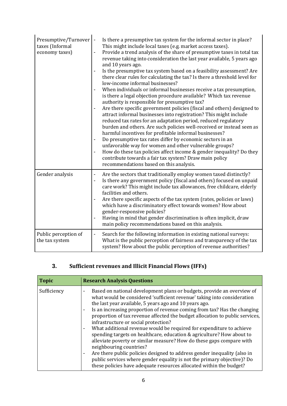| Presumptive/Turnover<br>taxes (Informal<br>economy taxes) | Is there a presumptive tax system for the informal sector in place?<br>This might include local taxes (e.g. market access taxes).<br>Provide a trend analysis of the share of presumptive taxes in total tax<br>revenue taking into consideration the last year available, 5 years ago<br>and 10 years ago.<br>Is the presumptive tax system based on a feasibility assessment? Are<br>there clear rules for calculating the tax? Is there a threshold level for<br>low-income informal businesses?<br>When individuals or informal businesses receive a tax presumption,<br>is there a legal objection procedure available? Which tax revenue<br>authority is responsible for presumptive tax?<br>Are there specific government policies (fiscal and others) designed to<br>attract informal businesses into registration? This might include<br>reduced tax rates for an adaptation period, reduced regulatory<br>burden and others. Are such policies well-received or instead seen as<br>harmful incentives for profitable informal businesses?<br>Do presumptive tax rates differ by economic sectors in an<br>$\overline{\phantom{a}}$<br>unfavorable way for women and other vulnerable groups?<br>How do these tax policies affect income & gender inequality? Do they<br>contribute towards a fair tax system? Draw main policy<br>recommendations based on this analysis. |
|-----------------------------------------------------------|-------------------------------------------------------------------------------------------------------------------------------------------------------------------------------------------------------------------------------------------------------------------------------------------------------------------------------------------------------------------------------------------------------------------------------------------------------------------------------------------------------------------------------------------------------------------------------------------------------------------------------------------------------------------------------------------------------------------------------------------------------------------------------------------------------------------------------------------------------------------------------------------------------------------------------------------------------------------------------------------------------------------------------------------------------------------------------------------------------------------------------------------------------------------------------------------------------------------------------------------------------------------------------------------------------------------------------------------------------------------------------------|
| Gender analysis                                           | Are the sectors that traditionally employ women taxed distinctly?<br>$\overline{\phantom{a}}$<br>Is there any government policy (fiscal and others) focused on unpaid<br>$\blacksquare$<br>care work? This might include tax allowances, free childcare, elderly<br>facilities and others.<br>Are there specific aspects of the tax system (rates, policies or laws)<br>which have a discriminatory effect towards women? How about<br>gender-responsive policies?<br>Having in mind that gender discrimination is often implicit, draw<br>main policy recommendations based on this analysis.                                                                                                                                                                                                                                                                                                                                                                                                                                                                                                                                                                                                                                                                                                                                                                                      |
| Public perception of<br>the tax system                    | Search for the following information in existing national surveys:<br>$\overline{\phantom{a}}$<br>What is the public perception of fairness and transparency of the tax<br>system? How about the public perception of revenue authorities?                                                                                                                                                                                                                                                                                                                                                                                                                                                                                                                                                                                                                                                                                                                                                                                                                                                                                                                                                                                                                                                                                                                                          |

# **3. Sufficient revenues and Illicit Financial Flows (IFFs)**

| <b>Topic</b> | <b>Research Analysis Questions</b>                                                                                                                                                                                                                                                                                                                                                                                                                                                                                                                                                                                                                                                                                                                                                                                                                                                                                                                                                    |
|--------------|---------------------------------------------------------------------------------------------------------------------------------------------------------------------------------------------------------------------------------------------------------------------------------------------------------------------------------------------------------------------------------------------------------------------------------------------------------------------------------------------------------------------------------------------------------------------------------------------------------------------------------------------------------------------------------------------------------------------------------------------------------------------------------------------------------------------------------------------------------------------------------------------------------------------------------------------------------------------------------------|
| Sufficiency  | Based on national development plans or budgets, provide an overview of<br>what would be considered 'sufficient revenue' taking into consideration<br>the last year available, 5 years ago and 10 years ago.<br>Is an increasing proportion of revenue coming from tax? Has the changing<br>$\overline{\phantom{a}}$<br>proportion of tax revenue affected the budget allocation to public services,<br>infrastructure or social protection?<br>What additional revenue would be required for expenditure to achieve<br>$\overline{\phantom{a}}$<br>spending targets on healthcare, education & agriculture? How about to<br>alleviate poverty or similar measure? How do these gaps compare with<br>neighbouring countries?<br>Are there public policies designed to address gender inequality (also in<br>$\overline{\phantom{a}}$<br>public services where gender equality is not the primary objective)? Do<br>these policies have adequate resources allocated within the budget? |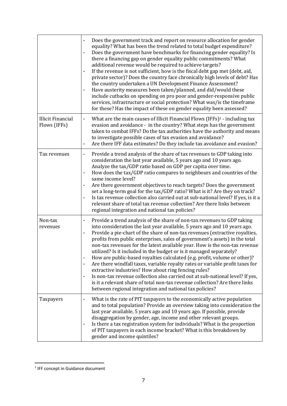|                                          | Does the government track and report on resource allocation for gender<br>equality? What has been the trend related to total budget expenditure?<br>Does the government have benchmarks for financing gender equality? Is<br>-<br>there a financing gap on gender equality public commitments? What<br>additional revenue would be required to achieve targets?<br>If the revenue is not sufficient, how is the fiscal debt gap met (debt, aid,<br>$\qquad \qquad \blacksquare$<br>private sector)? Does the country face chronically high levels of debt? Has<br>the country undertaken a UN Development Finance Assessment?<br>Have austerity measures been taken/planned, and did/would these<br>include cutbacks on spending on pro poor and gender-responsive public<br>services, infrastructure or social protection? What was/is the timeframe<br>for these? Has the impact of these on gender equality been assessed?                                                                                   |
|------------------------------------------|-----------------------------------------------------------------------------------------------------------------------------------------------------------------------------------------------------------------------------------------------------------------------------------------------------------------------------------------------------------------------------------------------------------------------------------------------------------------------------------------------------------------------------------------------------------------------------------------------------------------------------------------------------------------------------------------------------------------------------------------------------------------------------------------------------------------------------------------------------------------------------------------------------------------------------------------------------------------------------------------------------------------|
| <b>Illicit Financial</b><br>Flows (IFFs) | What are the main causes of Illicit Financial Flows (IFFs) $1$ - including tax<br>$\overline{\phantom{0}}$<br>evasion and avoidance - in the country? What steps has the government<br>taken to combat IFFs? Do the tax authorities have the authority and means<br>to investigate possible cases of tax evasion and avoidance?<br>Are there IFF data estimates? Do they include tax avoidance and evasion?<br>-                                                                                                                                                                                                                                                                                                                                                                                                                                                                                                                                                                                                |
| Tax revenues                             | Provide a trend analysis of the share of tax revenues to GDP taking into<br>$\overline{\phantom{0}}$<br>consideration the last year available, 5 years ago and 10 years ago.<br>Analyze the tax/GDP ratio based on GDP per capita over time.<br>How does the tax/GDP ratio compares to neighbours and countries of the<br>$\overline{a}$<br>same income level?<br>Are there government objectives to reach targets? Does the government<br>-<br>set a long-term goal for the tax/GDP ratio? What is it? Are they on track?<br>Is tax revenue collection also carried out at sub-national level? If yes, is it a<br>$\overline{a}$<br>relevant share of total tax revenue collection? Are there links between<br>regional integration and national tax policies?                                                                                                                                                                                                                                                 |
| Non-tax<br>revenues                      | Provide a trend analysis of the share of non-tax revenues to GDP taking<br>-<br>into consideration the last year available, 5 years ago and 10 years ago.<br>Provide a pie-chart of the share of non-tax revenues (extractive royalties,<br>$\qquad \qquad \blacksquare$<br>profits from public enterprises, sales of government's assets) in the total<br>non-tax revenues for the latest available year. How is the non-tax revenue<br>utilized? Is it included in the budget or is it managed separately?<br>How are public-based royalties calculated (e.g. profit, volume or other)?<br>Are there windfall taxes, variable royalty rates or variable profit taxes for<br>$\overline{a}$<br>extractive industries? How about ring fencing rules?<br>Is non-tax revenue collection also carried out at sub-national level? If yes,<br>$\qquad \qquad \blacksquare$<br>is it a relevant share of total non-tax revenue collection? Are there links<br>between regional integration and national tax policies? |
| Taxpayers                                | What is the rate of PIT taxpayers to the economically active population<br>$\overline{\phantom{0}}$<br>and to total population? Provide an overview taking into consideration the<br>last year available, 5 years ago and 10 years ago. If possible, provide<br>disaggregation by gender, age, income and other relevant groups.<br>Is there a tax registration system for individuals? What is the proportion<br>of PIT taxpayers in each income bracket? What is this breakdown by<br>gender and income quintiles?                                                                                                                                                                                                                                                                                                                                                                                                                                                                                            |

-

<sup>&</sup>lt;sup>1</sup> IFF concept in Guidance document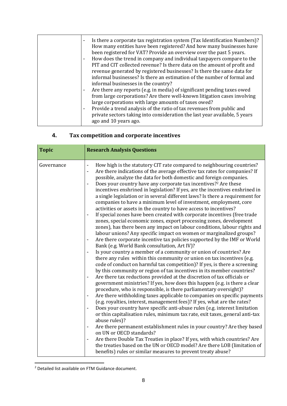### **4. Tax competition and corporate incentives**

| <b>Topic</b> | <b>Research Analysis Questions</b>                                                                                                                                                                                                                                                                                                                                                                                                                                                                                                                                                                                                                                                                                                                                                                                                                                                                                                                                                                                                                                                                                                                                                                                                                                                                                                                                                                                                                                                                                                                                                                                                                                                                                                                                                                                                                                                                                                                                                                                                                                                                                                                                                                                                                                                                                                                                                                               |
|--------------|------------------------------------------------------------------------------------------------------------------------------------------------------------------------------------------------------------------------------------------------------------------------------------------------------------------------------------------------------------------------------------------------------------------------------------------------------------------------------------------------------------------------------------------------------------------------------------------------------------------------------------------------------------------------------------------------------------------------------------------------------------------------------------------------------------------------------------------------------------------------------------------------------------------------------------------------------------------------------------------------------------------------------------------------------------------------------------------------------------------------------------------------------------------------------------------------------------------------------------------------------------------------------------------------------------------------------------------------------------------------------------------------------------------------------------------------------------------------------------------------------------------------------------------------------------------------------------------------------------------------------------------------------------------------------------------------------------------------------------------------------------------------------------------------------------------------------------------------------------------------------------------------------------------------------------------------------------------------------------------------------------------------------------------------------------------------------------------------------------------------------------------------------------------------------------------------------------------------------------------------------------------------------------------------------------------------------------------------------------------------------------------------------------------|
| Governance   | How high is the statutory CIT rate compared to neighbouring countries?<br>$\overline{\phantom{a}}$<br>Are there indications of the average effective tax rates for companies? If<br>$\overline{\phantom{a}}$<br>possible, analyze the data for both domestic and foreign companies.<br>Does your country have any corporate tax incentives? <sup>2</sup> Are these<br>incentives enshrined in legislation? If yes, are the incentives enshrined in<br>a single legislation or in several different laws? Is there a requirement for<br>companies to have a minimum level of investment, employment, core<br>activities or assets in the country to have access to incentives?<br>If special zones have been created with corporate incentives (free trade<br>zones, special economic zones, export processing zones, development<br>zones), has there been any impact on labour conditions, labour rights and<br>labour unions? Any specific impact on women or marginalized groups?<br>Are there corporate incentive tax policies supported by the IMF or World<br>$\overline{\phantom{a}}$<br>Bank (e.g. World Bank consultation, Art IV)?<br>Is your country a member of a community or union of countries? Are<br>there any rules within this community or union on tax incentives (e.g.<br>code of conduct on harmful tax competition)? If yes, is there a screening<br>by this community or region of tax incentives in its member countries?<br>Are there tax reductions provided at the discretion of tax officials or<br>$\overline{\phantom{a}}$<br>government ministries? If yes, how does this happen (e.g. is there a clear<br>procedure, who is responsible, is there parliamentary oversight)?<br>Are there withholding taxes applicable to companies on specific payments<br>(e.g. royalties, interest, management fees)? If yes, what are the rates?<br>Does your country have specific anti-abuse rules (e.g. interest limitation<br>$\overline{\phantom{a}}$<br>or thin capitalisation rules, minimum tax rate, exit taxes, general anti-tax<br>abuse rules)?<br>Are there permanent establishment rules in your country? Are they based<br>on UN or OECD standards?<br>Are there Double Tax Treaties in place? If yes, with which countries? Are<br>the treaties based on the UN or OECD model? Are there LOB (limitation of<br>benefits) rules or similar measures to prevent treaty abuse? |

<sup>&</sup>lt;sup>2</sup> Detailed list available on FTM Guidance document.

-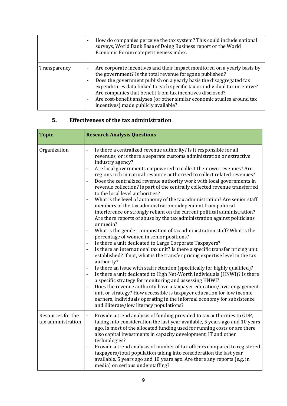|              | How do companies perceive the tax system? This could include national<br>$\blacksquare$<br>surveys, World Bank Ease of Doing Business report or the World<br>Economic Forum competitiveness index.                                                                                                                                                                                                                                                                        |
|--------------|---------------------------------------------------------------------------------------------------------------------------------------------------------------------------------------------------------------------------------------------------------------------------------------------------------------------------------------------------------------------------------------------------------------------------------------------------------------------------|
| Transparency | Are corporate incentives and their impact monitored on a yearly basis by<br>the government? Is the total revenue foregone published?<br>Does the government publish on a yearly basis the disaggregated tax<br>expenditures data linked to each specific tax or individual tax incentive?<br>Are companies that benefit from tax incentives disclosed?<br>Are cost-benefit analyses (or other similar economic studies around tax<br>incentives) made publicly available? |

### **5. Effectiveness of the tax administration**

| <b>Topic</b>                            | <b>Research Analysis Questions</b>                                                                                                                                                                                                                                                                                                                                                                                                                                                                                                                                                                                                                                                                                                                                                                                                                                                                                                                                                                                                                                                                                                                                                                                                                                                                                                                                                                                                                                                                                                                                                                                                                                                                                                                    |
|-----------------------------------------|-------------------------------------------------------------------------------------------------------------------------------------------------------------------------------------------------------------------------------------------------------------------------------------------------------------------------------------------------------------------------------------------------------------------------------------------------------------------------------------------------------------------------------------------------------------------------------------------------------------------------------------------------------------------------------------------------------------------------------------------------------------------------------------------------------------------------------------------------------------------------------------------------------------------------------------------------------------------------------------------------------------------------------------------------------------------------------------------------------------------------------------------------------------------------------------------------------------------------------------------------------------------------------------------------------------------------------------------------------------------------------------------------------------------------------------------------------------------------------------------------------------------------------------------------------------------------------------------------------------------------------------------------------------------------------------------------------------------------------------------------------|
| Organization                            | Is there a centralized revenue authority? Is it responsible for all<br>$\overline{\phantom{a}}$<br>revenues, or is there a separate customs administration or extractive<br>industry agency?<br>Are local governments empowered to collect their own revenues? Are<br>$\overline{\phantom{a}}$<br>regions rich in natural resource authorized to collect related revenues?<br>Does the centralized revenue authority work with local governments in<br>revenue collection? Is part of the centrally collected revenue transferred<br>to the local level authorities?<br>What is the level of autonomy of the tax administration? Are senior staff<br>members of the tax administration independent from political<br>interference or strongly reliant on the current political administration?<br>Are there reports of abuse by the tax administration against politicians<br>or media?<br>What is the gender composition of tax administration staff? What is the<br>percentage of women in senior positions?<br>Is there a unit dedicated to Large Corporate Taxpayers?<br>Is there an international tax unit? Is there a specific transfer pricing unit<br>established? If not, what is the transfer pricing expertise level in the tax<br>authority?<br>Is there an issue with staff retention (specifically for highly qualified)?<br>Is there a unit dedicated to High Net-Worth Individuals (HNWI)? Is there<br>a specific strategy for monitoring and assessing HNWI?<br>Does the revenue authority have a taxpayer education/civic engagement<br>unit or strategy? How accessible is taxpayer education for low income<br>earners, individuals operating in the informal economy for subsistence<br>and illiterate/low literacy populations? |
| Resources for the<br>tax administration | Provide a trend analysis of funding provided to tax authorities to GDP,<br>$\overline{\phantom{a}}$<br>taking into consideration the last year available, 5 years ago and 10 years<br>ago. Is most of the allocated funding used for running costs or are there<br>also capital investments in capacity development, IT and other<br>technologies?<br>Provide a trend analysis of number of tax officers compared to registered<br>taxpayers/total population taking into consideration the last year<br>available, 5 years ago and 10 years ago. Are there any reports (e.g. in<br>media) on serious understaffing?                                                                                                                                                                                                                                                                                                                                                                                                                                                                                                                                                                                                                                                                                                                                                                                                                                                                                                                                                                                                                                                                                                                                  |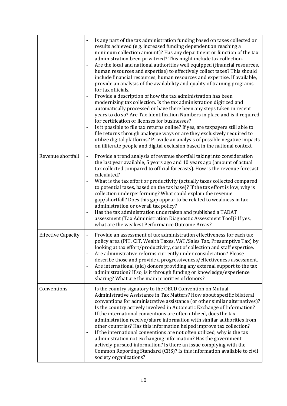|                           | Is any part of the tax administration funding based on taxes collected or<br>results achieved (e.g. increased funding dependent on reaching a<br>minimum collection amount)? Has any department or function of the tax<br>administration been privatized? This might include tax collection.<br>Are the local and national authorities well equipped (financial resources,<br>-<br>human resources and expertise) to effectively collect taxes? This should<br>include financial resources, human resources and expertise. If available,<br>provide an analysis of the availability and quality of training programs<br>for tax officials.<br>Provide a description of how the tax administration has been<br>modernizing tax collection. Is the tax administration digitized and<br>automatically processed or have there been any steps taken in recent<br>years to do so? Are Tax Identification Numbers in place and is it required<br>for certification or licenses for businesses?<br>Is it possible to file tax returns online? If yes, are taxpayers still able to<br>file returns through analogue ways or are they exclusively required to<br>utilize digital platforms? Provide an analysis of possible negative impacts<br>on illiterate people and digital exclusion based in the national context. |
|---------------------------|------------------------------------------------------------------------------------------------------------------------------------------------------------------------------------------------------------------------------------------------------------------------------------------------------------------------------------------------------------------------------------------------------------------------------------------------------------------------------------------------------------------------------------------------------------------------------------------------------------------------------------------------------------------------------------------------------------------------------------------------------------------------------------------------------------------------------------------------------------------------------------------------------------------------------------------------------------------------------------------------------------------------------------------------------------------------------------------------------------------------------------------------------------------------------------------------------------------------------------------------------------------------------------------------------------------|
| Revenue shortfall         | Provide a trend analysis of revenue shortfall taking into consideration<br>-<br>the last year available, 5 years ago and 10 years ago (amount of actual<br>tax collected compared to official forecasts). How is the revenue forecast<br>calculated?<br>What is the tax effort or productivity (actually taxes collected compared<br>to potential taxes, based on the tax base)? If the tax effort is low, why is<br>collection underperforming? What could explain the revenue<br>gap/shortfall? Does this gap appear to be related to weakness in tax<br>administration or overall tax policy?<br>Has the tax administration undertaken and published a TADAT<br>assessment (Tax Administration Diagnostic Assessment Tool)? If yes,<br>what are the weakest Performance Outcome Areas?                                                                                                                                                                                                                                                                                                                                                                                                                                                                                                                        |
| <b>Effective Capacity</b> | Provide an assessment of tax administration effectiveness for each tax<br>-<br>policy area (PIT, CIT, Wealth Taxes, VAT/Sales Tax, Presumptive Tax) by<br>looking at tax effort/productivity, cost of collection and staff expertise.<br>Are administrative reforms currently under consideration? Please<br>describe those and provide a progressiveness/effectiveness assessment.<br>Are international (aid) donors providing any external support to the tax<br>-<br>administration? If so, is it through funding or knowledge/experience<br>sharing? What are the main priorities of donors?                                                                                                                                                                                                                                                                                                                                                                                                                                                                                                                                                                                                                                                                                                                 |
| Conventions               | Is the country signatory to the OECD Convention on Mutual<br>-<br>Administrative Assistance in Tax Matters? How about specific bilateral<br>conventions for administrative assistance (or other similar alternatives)?<br>Is the country actively involved in Automatic Exchange of Information?<br>If the international conventions are often utilized, does the tax<br>$\overline{a}$<br>administration receive/share information with similar authorities from<br>other countries? Has this information helped improve tax collection?<br>If the international conventions are not often utilized, why is the tax<br>administration not exchanging information? Has the government<br>actively pursued information? Is there an issue complying with the<br>Common Reporting Standard (CRS)? Is this information available to civil<br>society organizations?                                                                                                                                                                                                                                                                                                                                                                                                                                                 |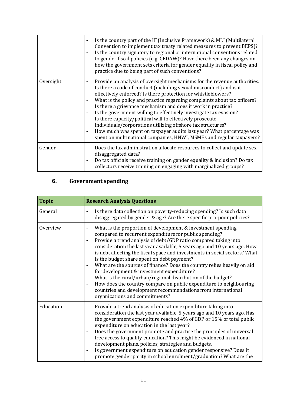|           | Is the country part of the IF (Inclusive Framework) & MLI (Multilateral<br>Convention to implement tax treaty related measures to prevent BEPS)?<br>Is the country signatory to regional or international conventions related<br>to gender fiscal policies (e.g. CEDAW)? Have there been any changes on<br>how the government sets criteria for gender equality in fiscal policy and<br>practice due to being part of such conventions?                                                                                                                                                                                                                                                                      |
|-----------|--------------------------------------------------------------------------------------------------------------------------------------------------------------------------------------------------------------------------------------------------------------------------------------------------------------------------------------------------------------------------------------------------------------------------------------------------------------------------------------------------------------------------------------------------------------------------------------------------------------------------------------------------------------------------------------------------------------|
| Oversight | Provide an analysis of oversight mechanisms for the revenue authorities.<br>Is there a code of conduct (including sexual misconduct) and is it<br>effectively enforced? Is there protection for whistleblowers?<br>What is the policy and practice regarding complaints about tax officers?<br>Is there a grievance mechanism and does it work in practice?<br>Is the government willing to effectively investigate tax evasion?<br>Is there capacity/political will to effectively prosecute<br>individuals/corporations utilizing offshore tax structures?<br>How much was spent on taxpayer audits last year? What percentage was<br>spent on multinational companies, HNWI, MSMEs and regular taxpayers? |
| Gender    | Does the tax administration allocate resources to collect and update sex-<br>disaggregated data?<br>Do tax officials receive training on gender equality & inclusion? Do tax<br>collectors receive training on engaging with marginalized groups?                                                                                                                                                                                                                                                                                                                                                                                                                                                            |

### **6. Government spending**

| <b>Topic</b> | <b>Research Analysis Questions</b>                                                                                                                                                                                                                                                                                                                                                                                                                                                                                                                                                                                                                                                                                                                                                                                                         |
|--------------|--------------------------------------------------------------------------------------------------------------------------------------------------------------------------------------------------------------------------------------------------------------------------------------------------------------------------------------------------------------------------------------------------------------------------------------------------------------------------------------------------------------------------------------------------------------------------------------------------------------------------------------------------------------------------------------------------------------------------------------------------------------------------------------------------------------------------------------------|
| General      | Is there data collection on poverty-reducing spending? Is such data<br>$\qquad \qquad \blacksquare$<br>disaggregated by gender & age? Are there specific pro-poor policies?                                                                                                                                                                                                                                                                                                                                                                                                                                                                                                                                                                                                                                                                |
| Overview     | What is the proportion of development & investment spending<br>compared to recurrent expenditure for public spending?<br>Provide a trend analysis of debt/GDP ratio compared taking into<br>$\blacksquare$<br>consideration the last year available, 5 years ago and 10 years ago. How<br>is debt affecting the fiscal space and investments in social sectors? What<br>is the budget share spent on debt payment?<br>What are the sources of finance? Does the country relies heavily on aid<br>for development & investment expenditure?<br>What is the rural/urban/regional distribution of the budget?<br>$\overline{\phantom{a}}$<br>How does the country compare on public expenditure to neighbouring<br>$\overline{\phantom{0}}$<br>countries and development recommendations from international<br>organizations and commitments? |
| Education    | Provide a trend analysis of education expenditure taking into<br>$\overline{\phantom{a}}$<br>consideration the last year available, 5 years ago and 10 years ago. Has<br>the government expenditure reached 4% of GDP or 15% of total public<br>expenditure on education in the last year?<br>Does the government promote and practice the principles of universal<br>$\qquad \qquad \blacksquare$<br>free access to quality education? This might be evidenced in national<br>development plans, policies, strategies and budgets.<br>Is government expenditure on education gender responsive? Does it<br>promote gender parity in school enrolment/graduation? What are the                                                                                                                                                             |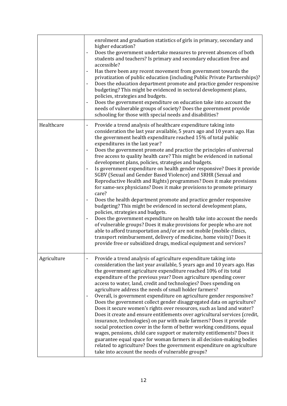|             | enrolment and graduation statistics of girls in primary, secondary and<br>higher education?<br>Does the government undertake measures to prevent absences of both<br>$\overline{\phantom{a}}$<br>students and teachers? Is primary and secondary education free and<br>accessible?<br>Has there been any recent movement from government towards the<br>privatization of public education (including Public Private Partnerships)?<br>Does the education department promote and practice gender responsive<br>budgeting? This might be evidenced in sectoral development plans,<br>policies, strategies and budgets.<br>Does the government expenditure on education take into account the<br>$\overline{\phantom{a}}$<br>needs of vulnerable groups of society? Does the government provide<br>schooling for those with special needs and disabilities?                                                                                                                                                                                                                                                                                                                                                                                                                                                                                                                                                   |
|-------------|------------------------------------------------------------------------------------------------------------------------------------------------------------------------------------------------------------------------------------------------------------------------------------------------------------------------------------------------------------------------------------------------------------------------------------------------------------------------------------------------------------------------------------------------------------------------------------------------------------------------------------------------------------------------------------------------------------------------------------------------------------------------------------------------------------------------------------------------------------------------------------------------------------------------------------------------------------------------------------------------------------------------------------------------------------------------------------------------------------------------------------------------------------------------------------------------------------------------------------------------------------------------------------------------------------------------------------------------------------------------------------------------------------|
| Healthcare  | Provide a trend analysis of healthcare expenditure taking into<br>$\qquad \qquad \blacksquare$<br>consideration the last year available, 5 years ago and 10 years ago. Has<br>the government health expenditure reached 15% of total public<br>expenditures in the last year?<br>Does the government promote and practice the principles of universal<br>free access to quality health care? This might be evidenced in national<br>development plans, policies, strategies and budgets.<br>Is government expenditure on health gender responsive? Does it provide<br>$\overline{\phantom{a}}$<br>SGBV (Sexual and Gender Based Violence) and SRHR (Sexual and<br>Reproductive Health and Rights) programmes? Does it make provisions<br>for same-sex physicians? Does it make provisions to promote primary<br>care?<br>Does the health department promote and practice gender responsive<br>budgeting? This might be evidenced in sectoral development plans,<br>policies, strategies and budgets.<br>Does the government expenditure on health take into account the needs<br>$\qquad \qquad \blacksquare$<br>of vulnerable groups? Does it make provisions for people who are not<br>able to afford transportation and/or are not mobile (mobile clinics,<br>transport reimbursement, delivery of medicine, home visits)? Does it<br>provide free or subsidized drugs, medical equipment and services? |
| Agriculture | Provide a trend analysis of agriculture expenditure taking into<br>$\qquad \qquad \blacksquare$<br>consideration the last year available, 5 years ago and 10 years ago. Has<br>the government agriculture expenditure reached 10% of its total<br>expenditure of the previous year? Does agriculture spending cover<br>access to water, land, credit and technologies? Does spending on<br>agriculture address the needs of small holder farmers?<br>Overall, is government expenditure on agriculture gender responsive?<br>$\overline{\phantom{a}}$<br>Does the government collect gender disaggregated data on agriculture?<br>Does it secure women's rights over resources, such as land and water?<br>Does it create and ensure entitlements over agricultural services (credit,<br>insurance, technologies) on par with male farmers? Does it provide<br>social protection cover in the form of better working conditions, equal<br>wages, pensions, child care support or maternity entitlements? Does it<br>guarantee equal space for woman farmers in all decision-making bodies<br>related to agriculture? Does the government expenditure on agriculture<br>take into account the needs of vulnerable groups?                                                                                                                                                                                   |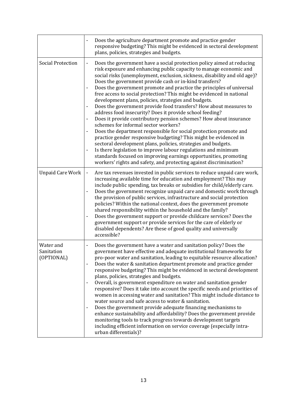|                                       | Does the agriculture department promote and practice gender<br>responsive budgeting? This might be evidenced in sectoral development<br>plans, policies, strategies and budgets.                                                                                                                                                                                                                                                                                                                                                                                                                                                                                                                                                                                                                                                                                                                                                                                                                                                                                                                                                                                |
|---------------------------------------|-----------------------------------------------------------------------------------------------------------------------------------------------------------------------------------------------------------------------------------------------------------------------------------------------------------------------------------------------------------------------------------------------------------------------------------------------------------------------------------------------------------------------------------------------------------------------------------------------------------------------------------------------------------------------------------------------------------------------------------------------------------------------------------------------------------------------------------------------------------------------------------------------------------------------------------------------------------------------------------------------------------------------------------------------------------------------------------------------------------------------------------------------------------------|
| <b>Social Protection</b>              | Does the government have a social protection policy aimed at reducing<br>risk exposure and enhancing public capacity to manage economic and<br>social risks (unemployment, exclusion, sickness, disability and old age)?<br>Does the government provide cash or in-kind transfers?<br>Does the government promote and practice the principles of universal<br>free access to social protection? This might be evidenced in national<br>development plans, policies, strategies and budgets.<br>Does the government provide food transfers? How about measures to<br>address food insecurity? Does it provide school feeding?<br>Does it provide contributory pension schemes? How about insurance<br>schemes for informal sector workers?<br>Does the department responsible for social protection promote and<br>practice gender responsive budgeting? This might be evidenced in<br>sectoral development plans, policies, strategies and budgets.<br>Is there legislation to improve labour regulations and minimum<br>standards focused on improving earnings opportunities, promoting<br>workers' rights and safety, and protecting against discrimination? |
| <b>Unpaid Care Work</b>               | Are tax revenues invested in public services to reduce unpaid care work,<br>$\qquad \qquad \blacksquare$<br>increasing available time for education and employment? This may<br>include public spending, tax breaks or subsidies for child/elderly care.<br>Does the government recognize unpaid care and domestic work through<br>-<br>the provision of public services, infrastructure and social protection<br>policies? Within the national context, does the government promote<br>shared responsibility within the household and the family?<br>Does the government support or provide childcare services? Does the<br>government support or provide services for the care of elderly or<br>disabled dependents? Are these of good quality and universally<br>accessible?                                                                                                                                                                                                                                                                                                                                                                                 |
| Water and<br>Sanitation<br>(OPTIONAL) | Does the government have a water and sanitation policy? Does the<br>government have effective and adequate institutional frameworks for<br>pro-poor water and sanitation, leading to equitable resource allocation?<br>Does the water & sanitation department promote and practice gender<br>$\overline{\phantom{0}}$<br>responsive budgeting? This might be evidenced in sectoral development<br>plans, policies, strategies and budgets.<br>Overall, is government expenditure on water and sanitation gender<br>responsive? Does it take into account the specific needs and priorities of<br>women in accessing water and sanitation? This might include distance to<br>water source and safe access to water & sanitation.<br>Does the government provide adequate financing mechanisms to<br>$\overline{\phantom{a}}$<br>enhance sustainability and affordability? Does the government provide<br>monitoring tools to track progress towards development targets<br>including efficient information on service coverage (especially intra-<br>urban differentials)?                                                                                       |